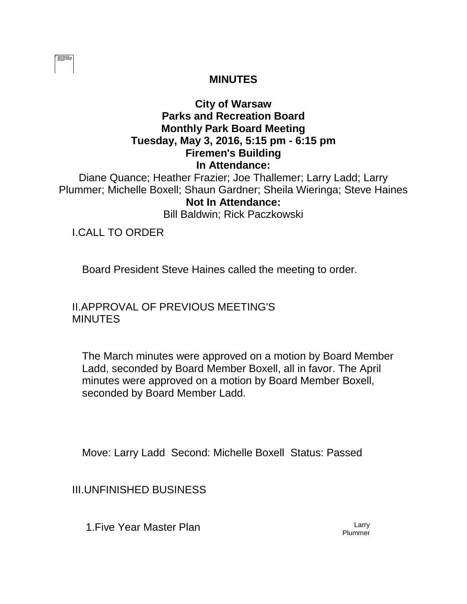

### **MINUTES**

# **City of Warsaw Parks and Recreation Board Monthly Park Board Meeting Tuesday, May 3, 2016, 5:15 pm - 6:15 pm Firemen's Building In Attendance:**

Diane Quance; Heather Frazier; Joe Thallemer; Larry Ladd; Larry Plummer; Michelle Boxell; Shaun Gardner; Sheila Wieringa; Steve Haines **Not In Attendance:** 

Bill Baldwin; Rick Paczkowski

I.CALL TO ORDER

Board President Steve Haines called the meeting to order.

II.APPROVAL OF PREVIOUS MEETING'S **MINUTES** 

The March minutes were approved on a motion by Board Member Ladd, seconded by Board Member Boxell, all in favor. The April minutes were approved on a motion by Board Member Boxell, seconded by Board Member Ladd.

Move: Larry Ladd Second: Michelle Boxell Status: Passed

III.UNFINISHED BUSINESS

1. Five Year Master Plan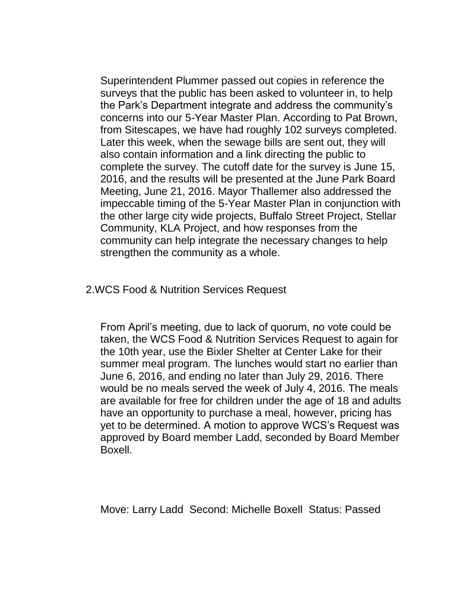Superintendent Plummer passed out copies in reference the surveys that the public has been asked to volunteer in, to help the Park's Department integrate and address the community's concerns into our 5-Year Master Plan. According to Pat Brown, from Sitescapes, we have had roughly 102 surveys completed. Later this week, when the sewage bills are sent out, they will also contain information and a link directing the public to complete the survey. The cutoff date for the survey is June 15, 2016, and the results will be presented at the June Park Board Meeting, June 21, 2016. Mayor Thallemer also addressed the impeccable timing of the 5-Year Master Plan in conjunction with the other large city wide projects, Buffalo Street Project, Stellar Community, KLA Project, and how responses from the community can help integrate the necessary changes to help strengthen the community as a whole.

#### 2.WCS Food & Nutrition Services Request

From April's meeting, due to lack of quorum, no vote could be taken, the WCS Food & Nutrition Services Request to again for the 10th year, use the Bixler Shelter at Center Lake for their summer meal program. The lunches would start no earlier than June 6, 2016, and ending no later than July 29, 2016. There would be no meals served the week of July 4, 2016. The meals are available for free for children under the age of 18 and adults have an opportunity to purchase a meal, however, pricing has yet to be determined. A motion to approve WCS's Request was approved by Board member Ladd, seconded by Board Member Boxell.

Move: Larry Ladd Second: Michelle Boxell Status: Passed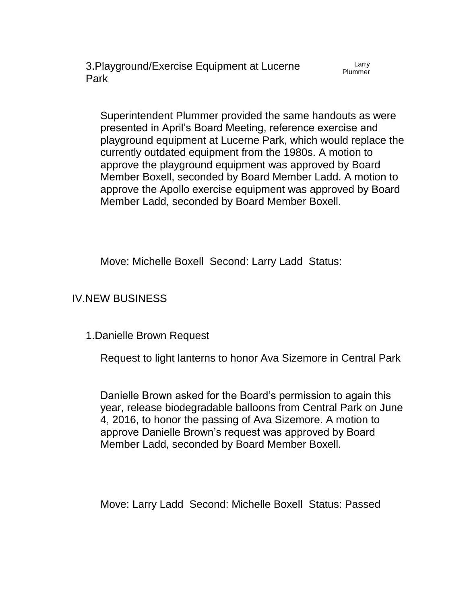3.Playground/Exercise Equipment at Lucerne Park

Larry Plummer

Superintendent Plummer provided the same handouts as were presented in April's Board Meeting, reference exercise and playground equipment at Lucerne Park, which would replace the currently outdated equipment from the 1980s. A motion to approve the playground equipment was approved by Board Member Boxell, seconded by Board Member Ladd. A motion to approve the Apollo exercise equipment was approved by Board Member Ladd, seconded by Board Member Boxell.

Move: Michelle Boxell Second: Larry Ladd Status:

IV.NEW BUSINESS

1.Danielle Brown Request

Request to light lanterns to honor Ava Sizemore in Central Park

Danielle Brown asked for the Board's permission to again this year, release biodegradable balloons from Central Park on June 4, 2016, to honor the passing of Ava Sizemore. A motion to approve Danielle Brown's request was approved by Board Member Ladd, seconded by Board Member Boxell.

Move: Larry Ladd Second: Michelle Boxell Status: Passed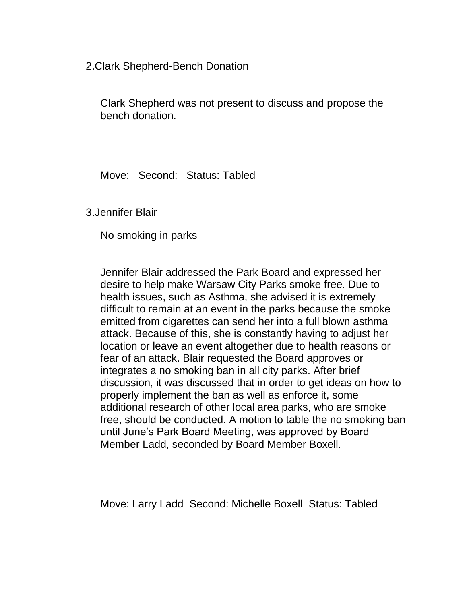2.Clark Shepherd-Bench Donation

Clark Shepherd was not present to discuss and propose the bench donation.

Move: Second: Status: Tabled

3.Jennifer Blair

No smoking in parks

Jennifer Blair addressed the Park Board and expressed her desire to help make Warsaw City Parks smoke free. Due to health issues, such as Asthma, she advised it is extremely difficult to remain at an event in the parks because the smoke emitted from cigarettes can send her into a full blown asthma attack. Because of this, she is constantly having to adjust her location or leave an event altogether due to health reasons or fear of an attack. Blair requested the Board approves or integrates a no smoking ban in all city parks. After brief discussion, it was discussed that in order to get ideas on how to properly implement the ban as well as enforce it, some additional research of other local area parks, who are smoke free, should be conducted. A motion to table the no smoking ban until June's Park Board Meeting, was approved by Board Member Ladd, seconded by Board Member Boxell.

Move: Larry Ladd Second: Michelle Boxell Status: Tabled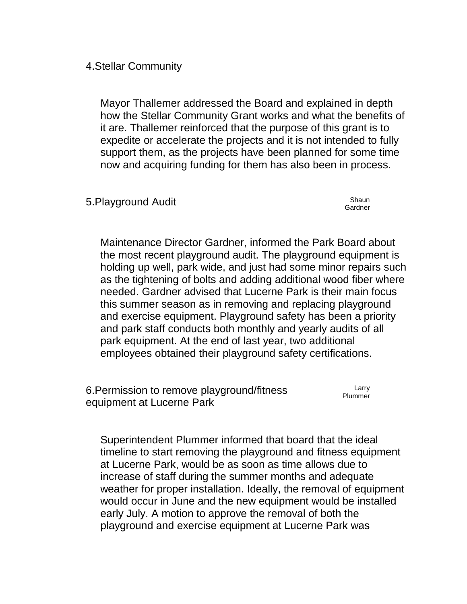4.Stellar Community

Mayor Thallemer addressed the Board and explained in depth how the Stellar Community Grant works and what the benefits of it are. Thallemer reinforced that the purpose of this grant is to expedite or accelerate the projects and it is not intended to fully support them, as the projects have been planned for some time now and acquiring funding for them has also been in process.

5.Playground Audit Shaun

Gardner

Maintenance Director Gardner, informed the Park Board about the most recent playground audit. The playground equipment is holding up well, park wide, and just had some minor repairs such as the tightening of bolts and adding additional wood fiber where needed. Gardner advised that Lucerne Park is their main focus this summer season as in removing and replacing playground and exercise equipment. Playground safety has been a priority and park staff conducts both monthly and yearly audits of all park equipment. At the end of last year, two additional employees obtained their playground safety certifications.

6.Permission to remove playground/fitness equipment at Lucerne Park Larry Plummer

Superintendent Plummer informed that board that the ideal timeline to start removing the playground and fitness equipment at Lucerne Park, would be as soon as time allows due to increase of staff during the summer months and adequate weather for proper installation. Ideally, the removal of equipment would occur in June and the new equipment would be installed early July. A motion to approve the removal of both the playground and exercise equipment at Lucerne Park was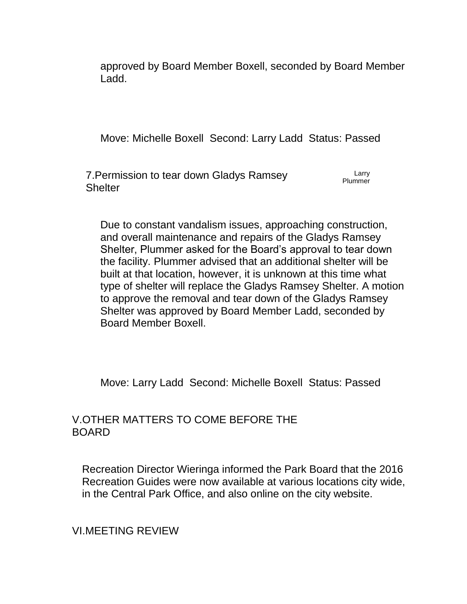approved by Board Member Boxell, seconded by Board Member Ladd.

Move: Michelle Boxell Second: Larry Ladd Status: Passed

7.Permission to tear down Gladys Ramsey **Shelter** Larry Plummer

Due to constant vandalism issues, approaching construction, and overall maintenance and repairs of the Gladys Ramsey Shelter, Plummer asked for the Board's approval to tear down the facility. Plummer advised that an additional shelter will be built at that location, however, it is unknown at this time what type of shelter will replace the Gladys Ramsey Shelter. A motion to approve the removal and tear down of the Gladys Ramsey Shelter was approved by Board Member Ladd, seconded by Board Member Boxell.

Move: Larry Ladd Second: Michelle Boxell Status: Passed

### V.OTHER MATTERS TO COME BEFORE THE BOARD

Recreation Director Wieringa informed the Park Board that the 2016 Recreation Guides were now available at various locations city wide, in the Central Park Office, and also online on the city website.

VI.MEETING REVIEW